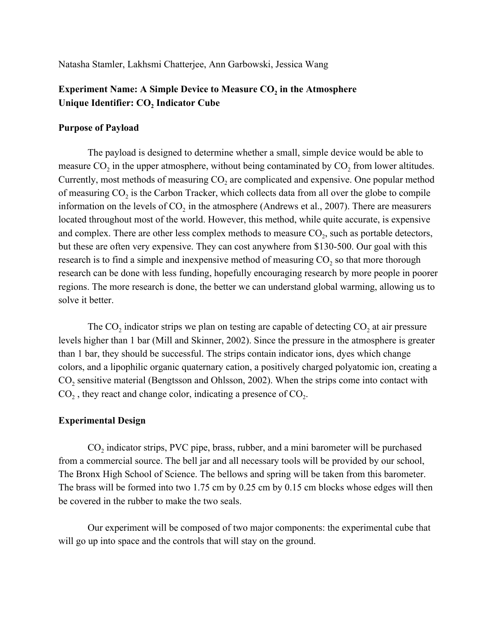Natasha Stamler, Lakhsmi Chatterjee, Ann Garbowski, Jessica Wang

# **Experiment Name: A Simple Device to Measure CO<sup>2</sup> in the Atmosphere Unique Identifier: CO<sup>2</sup> Indicator Cube**

#### **Purpose of Payload**

The payload is designed to determine whether a small, simple device would be able to measure  $CO_2$  in the upper atmosphere, without being contaminated by  $CO_2$  from lower altitudes. Currently, most methods of measuring  $CO<sub>2</sub>$  are complicated and expensive. One popular method of measuring  $CO_2$  is the Carbon Tracker, which collects data from all over the globe to compile information on the levels of  $CO_2$  in the atmosphere (Andrews et al., 2007). There are measurers located throughout most of the world. However, this method, while quite accurate, is expensive and complex. There are other less complex methods to measure  $CO_2$ , such as portable detectors, but these are often very expensive. They can cost anywhere from \$130-500. Our goal with this research is to find a simple and inexpensive method of measuring  $CO_2$  so that more thorough research can be done with less funding, hopefully encouraging research by more people in poorer regions. The more research is done, the better we can understand global warming, allowing us to solve it better.

The  $CO_2$  indicator strips we plan on testing are capable of detecting  $CO_2$  at air pressure levels higher than 1 bar (Mill and Skinner, 2002). Since the pressure in the atmosphere is greater than 1 bar, they should be successful. The strips contain indicator ions, dyes which change colors, and a lipophilic organic quaternary cation, a positively charged polyatomic ion, creating a  $CO<sub>2</sub>$  sensitive material (Bengtsson and Ohlsson, 2002). When the strips come into contact with  $CO<sub>2</sub>$ , they react and change color, indicating a presence of  $CO<sub>2</sub>$ .

#### **Experimental Design**

 $CO<sub>2</sub>$  indicator strips, PVC pipe, brass, rubber, and a mini barometer will be purchased from a commercial source. The bell jar and all necessary tools will be provided by our school, The Bronx High School of Science. The bellows and spring will be taken from this barometer. The brass will be formed into two 1.75 cm by 0.25 cm by 0.15 cm blocks whose edges will then be covered in the rubber to make the two seals.

Our experiment will be composed of two major components: the experimental cube that will go up into space and the controls that will stay on the ground.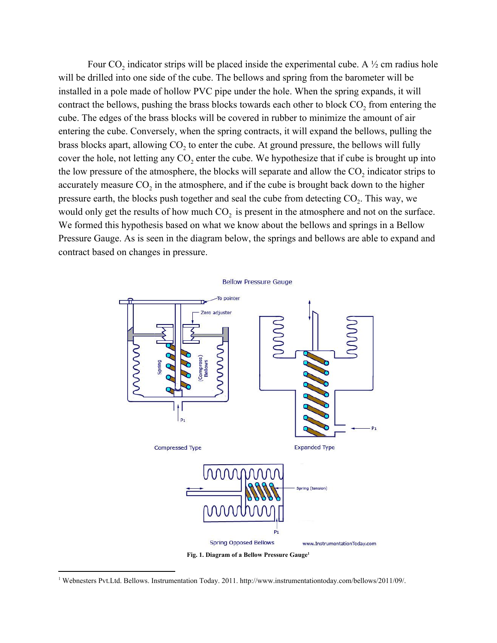Four  $CO_2$  indicator strips will be placed inside the experimental cube. A  $\frac{1}{2}$  cm radius hole will be drilled into one side of the cube. The bellows and spring from the barometer will be installed in a pole made of hollow PVC pipe under the hole. When the spring expands, it will contract the bellows, pushing the brass blocks towards each other to block  $CO_2$  from entering the cube. The edges of the brass blocks will be covered in rubber to minimize the amount of air entering the cube. Conversely, when the spring contracts, it will expand the bellows, pulling the brass blocks apart, allowing  $CO<sub>2</sub>$  to enter the cube. At ground pressure, the bellows will fully cover the hole, not letting any  $CO_2$  enter the cube. We hypothesize that if cube is brought up into the low pressure of the atmosphere, the blocks will separate and allow the  $CO_2$  indicator strips to accurately measure  $CO_2$  in the atmosphere, and if the cube is brought back down to the higher pressure earth, the blocks push together and seal the cube from detecting  $CO_2$ . This way, we would only get the results of how much  $CO<sub>2</sub>$  is present in the atmosphere and not on the surface. We formed this hypothesis based on what we know about the bellows and springs in a Bellow Pressure Gauge. As is seen in the diagram below, the springs and bellows are able to expand and contract based on changes in pressure.





**Fig. 1. Diagram of a Bellow Pressure Gauge 1**

<sup>1</sup> Webnesters Pvt.Ltd. Bellows. Instrumentation Today. 2011. [http://www.instrumentationtoday.com/bellows/2011/09/.](http://www.instrumentationtoday.com/bellows/2011/09/)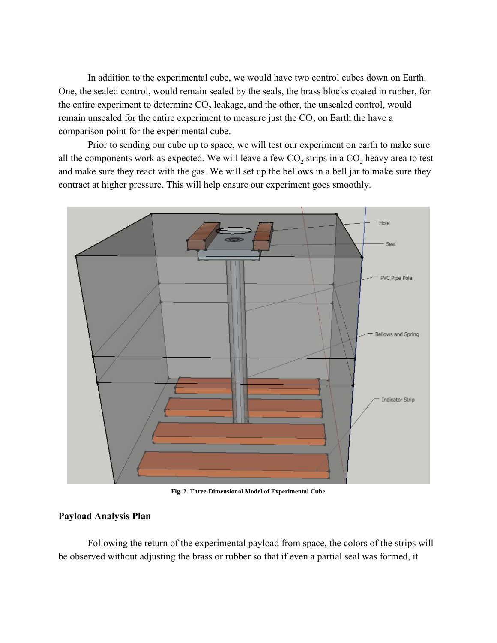In addition to the experimental cube, we would have two control cubes down on Earth. One, the sealed control, would remain sealed by the seals, the brass blocks coated in rubber, for the entire experiment to determine  $CO<sub>2</sub>$  leakage, and the other, the unsealed control, would remain unsealed for the entire experiment to measure just the  $CO<sub>2</sub>$  on Earth the have a comparison point for the experimental cube.

Prior to sending our cube up to space, we will test our experiment on earth to make sure all the components work as expected. We will leave a few  $CO_2$  strips in a  $CO_2$  heavy area to test and make sure they react with the gas. We will set up the bellows in a bell jar to make sure they contract at higher pressure. This will help ensure our experiment goes smoothly.



**Fig. 2. Three-Dimensional Model of Experimental Cube**

#### **Payload Analysis Plan**

Following the return of the experimental payload from space, the colors of the strips will be observed without adjusting the brass or rubber so that if even a partial seal was formed, it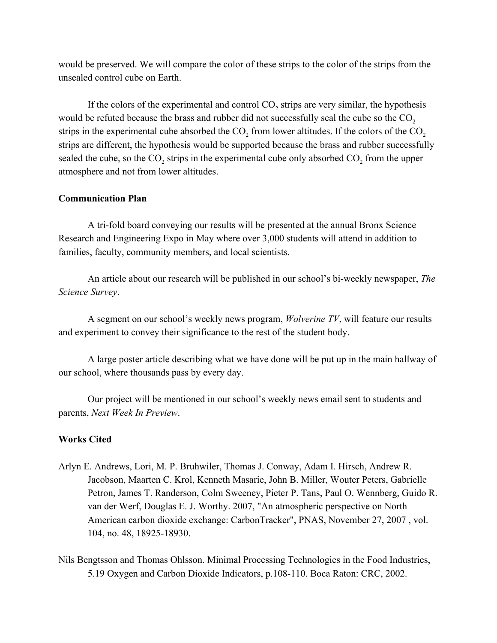would be preserved. We will compare the color of these strips to the color of the strips from the unsealed control cube on Earth.

If the colors of the experimental and control  $CO_2$  strips are very similar, the hypothesis would be refuted because the brass and rubber did not successfully seal the cube so the  $CO<sub>2</sub>$ strips in the experimental cube absorbed the  $CO_2$  from lower altitudes. If the colors of the  $CO_2$ strips are different, the hypothesis would be supported because the brass and rubber successfully sealed the cube, so the  $CO_2$  strips in the experimental cube only absorbed  $CO_2$  from the upper atmosphere and not from lower altitudes.

### **Communication Plan**

A tri-fold board conveying our results will be presented at the annual Bronx Science Research and Engineering Expo in May where over 3,000 students will attend in addition to families, faculty, community members, and local scientists.

An article about our research will be published in our school's bi-weekly newspaper, *The Science Survey*.

A segment on our school's weekly news program, *Wolverine TV*, will feature our results and experiment to convey their significance to the rest of the student body.

A large poster article describing what we have done will be put up in the main hallway of our school, where thousands pass by every day.

Our project will be mentioned in our school's weekly news email sent to students and parents, *Next Week In Preview*.

## **Works Cited**

- Arlyn E. Andrews, Lori, M. P. Bruhwiler, Thomas J. Conway, Adam I. Hirsch, Andrew R. Jacobson, Maarten C. Krol, Kenneth Masarie, John B. Miller, Wouter Peters, Gabrielle Petron, James T. Randerson, Colm Sweeney, Pieter P. Tans, Paul O. Wennberg, Guido R. van der Werf, Douglas E. J. Worthy. 2007, "An atmospheric perspective on North American carbon dioxide exchange: CarbonTracker", [PNAS, November 27, 2007 , vol.](http://www.pnas.org/cgi/content/abstract/104/48/18925) [104, no. 48, 18925-18930.](http://www.pnas.org/cgi/content/abstract/104/48/18925)
- Nils Bengtsson and Thomas Ohlsson. Minimal Processing Technologies in the Food Industries, 5.19 Oxygen and Carbon Dioxide Indicators, p.108-110. Boca Raton: CRC, 2002.